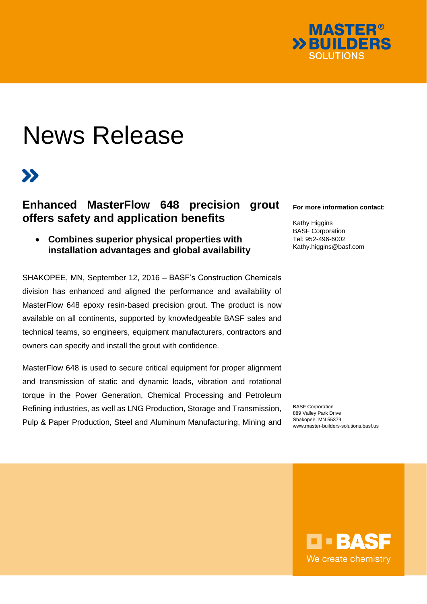

# News Release

## $\boldsymbol{\Sigma}$

### **Enhanced MasterFlow 648 precision grout offers safety and application benefits**

 **Combines superior physical properties with installation advantages and global availability**

SHAKOPEE, MN, September 12, 2016 – BASF's Construction Chemicals division has enhanced and aligned the performance and availability of MasterFlow 648 epoxy resin-based precision grout. The product is now available on all continents, supported by knowledgeable BASF sales and technical teams, so engineers, equipment manufacturers, contractors and owners can specify and install the grout with confidence.

MasterFlow 648 is used to secure critical equipment for proper alignment and transmission of static and dynamic loads, vibration and rotational torque in the Power Generation, Chemical Processing and Petroleum Refining industries, as well as LNG Production, Storage and Transmission, Pulp & Paper Production, Steel and Aluminum Manufacturing, Mining and

#### **For more information contact:**

Kathy Higgins BASF Corporation Tel: 952-496-6002 Kathy.higgins@basf.com

BASF Corporation 889 Valley Park Drive Shakopee, MN 55379 www.master-builders-solutions.basf.us

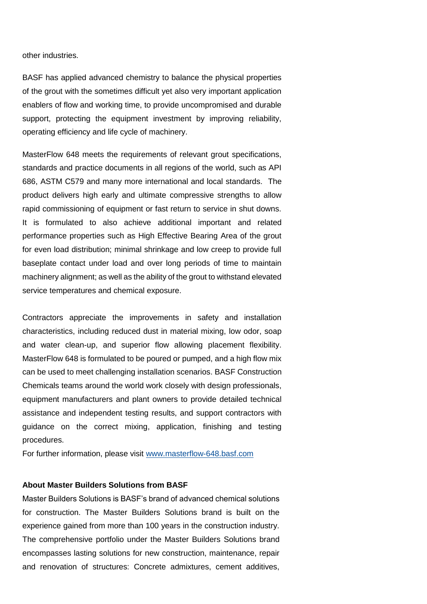other industries.

BASF has applied advanced chemistry to balance the physical properties of the grout with the sometimes difficult yet also very important application enablers of flow and working time, to provide uncompromised and durable support, protecting the equipment investment by improving reliability, operating efficiency and life cycle of machinery.

MasterFlow 648 meets the requirements of relevant grout specifications, standards and practice documents in all regions of the world, such as API 686, ASTM C579 and many more international and local standards. The product delivers high early and ultimate compressive strengths to allow rapid commissioning of equipment or fast return to service in shut downs. It is formulated to also achieve additional important and related performance properties such as High Effective Bearing Area of the grout for even load distribution; minimal shrinkage and low creep to provide full baseplate contact under load and over long periods of time to maintain machinery alignment; as well as the ability of the grout to withstand elevated service temperatures and chemical exposure.

Contractors appreciate the improvements in safety and installation characteristics, including reduced dust in material mixing, low odor, soap and water clean-up, and superior flow allowing placement flexibility. MasterFlow 648 is formulated to be poured or pumped, and a high flow mix can be used to meet challenging installation scenarios. BASF Construction Chemicals teams around the world work closely with design professionals, equipment manufacturers and plant owners to provide detailed technical assistance and independent testing results, and support contractors with guidance on the correct mixing, application, finishing and testing procedures.

For further information, please visit [www.masterflow-648.basf.com](http://www.masterflow-648.basf.com/)

#### **About Master Builders Solutions from BASF**

Master Builders Solutions is BASF's brand of advanced chemical solutions for construction. The Master Builders Solutions brand is built on the experience gained from more than 100 years in the construction industry. The comprehensive portfolio under the Master Builders Solutions brand encompasses lasting solutions for new construction, maintenance, repair and renovation of structures: Concrete admixtures, cement additives,